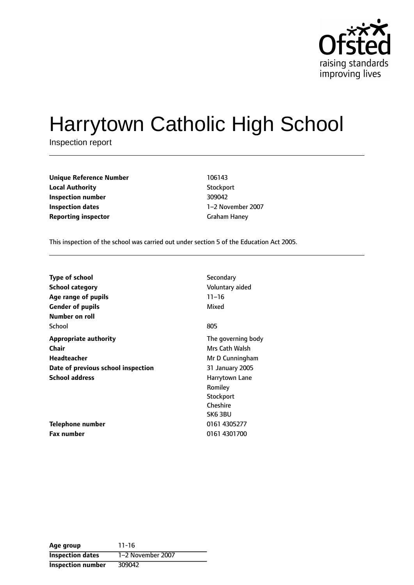

# Harrytown Catholic High School

Inspection report

| <b>Unique Reference Number</b> | 106143       |
|--------------------------------|--------------|
| <b>Local Authority</b>         | Stockport    |
| Inspection number              | 309042       |
| Inspection dates               | 1–2 November |
| <b>Reporting inspector</b>     | Graham Haney |

**Stockport Inspection number** 309042 **1-2 November 2007** 

This inspection of the school was carried out under section 5 of the Education Act 2005.

| <b>Type of school</b>              | Secondary          |
|------------------------------------|--------------------|
|                                    |                    |
| School category                    | Voluntary aided    |
| Age range of pupils                | $11 - 16$          |
| <b>Gender of pupils</b>            | Mixed              |
| Number on roll                     |                    |
| School                             | 805                |
| <b>Appropriate authority</b>       | The governing body |
| Chair                              | Mrs Cath Walsh     |
| Headteacher                        | Mr D Cunningham    |
| Date of previous school inspection | 31 January 2005    |
| <b>School address</b>              | Harrytown Lane     |
|                                    | Romiley            |
|                                    | Stockport          |
|                                    | Cheshire           |
|                                    | SK63BU             |
| Telephone number                   | 0161 4305277       |
| Fax number                         | 0161 4301700       |

**Age group** 11-16 **Inspection dates** 1-2 November 2007 **Inspection number** 309042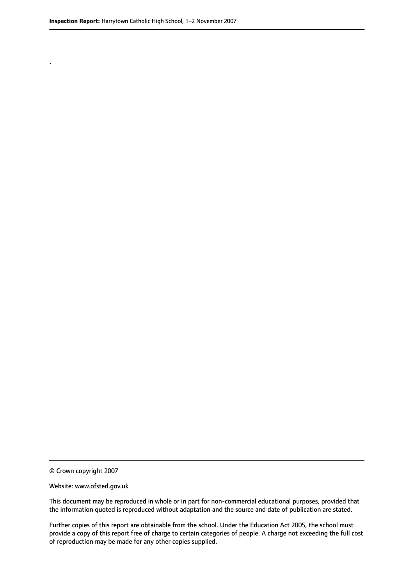.

© Crown copyright 2007

#### Website: www.ofsted.gov.uk

This document may be reproduced in whole or in part for non-commercial educational purposes, provided that the information quoted is reproduced without adaptation and the source and date of publication are stated.

Further copies of this report are obtainable from the school. Under the Education Act 2005, the school must provide a copy of this report free of charge to certain categories of people. A charge not exceeding the full cost of reproduction may be made for any other copies supplied.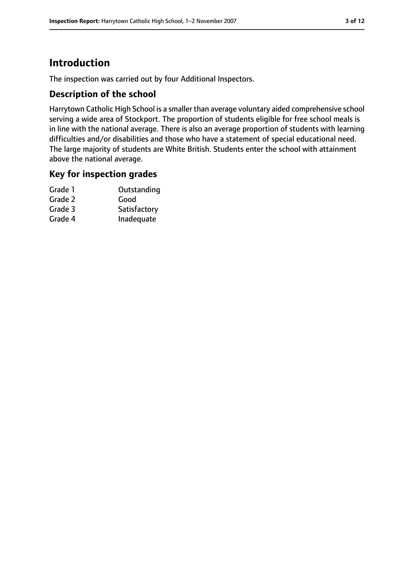# **Introduction**

The inspection was carried out by four Additional Inspectors.

#### **Description of the school**

Harrytown Catholic High School is a smaller than average voluntary aided comprehensive school serving a wide area of Stockport. The proportion of students eligible for free school meals is in line with the national average. There is also an average proportion of students with learning difficulties and/or disabilities and those who have a statement of special educational need. The large majority of students are White British. Students enter the school with attainment above the national average.

#### **Key for inspection grades**

| Grade 1 | Outstanding  |
|---------|--------------|
| Grade 2 | Good         |
| Grade 3 | Satisfactory |
| Grade 4 | Inadequate   |
|         |              |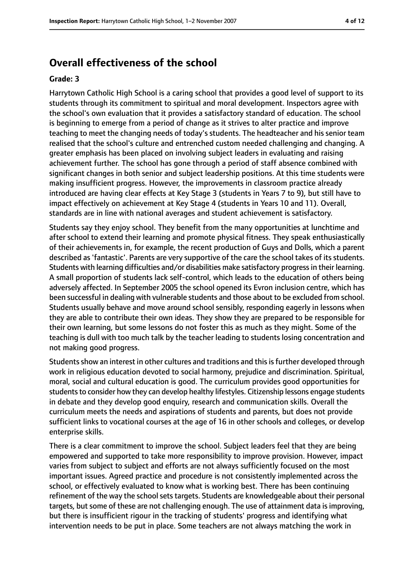#### **Overall effectiveness of the school**

#### **Grade: 3**

Harrytown Catholic High School is a caring school that provides a good level of support to its students through its commitment to spiritual and moral development. Inspectors agree with the school's own evaluation that it provides a satisfactory standard of education. The school is beginning to emerge from a period of change as it strives to alter practice and improve teaching to meet the changing needs of today's students. The headteacher and his senior team realised that the school's culture and entrenched custom needed challenging and changing. A greater emphasis has been placed on involving subject leaders in evaluating and raising achievement further. The school has gone through a period of staff absence combined with significant changes in both senior and subject leadership positions. At this time students were making insufficient progress. However, the improvements in classroom practice already introduced are having clear effects at Key Stage 3 (students in Years 7 to 9), but still have to impact effectively on achievement at Key Stage 4 (students in Years 10 and 11). Overall, standards are in line with national averages and student achievement is satisfactory.

Students say they enjoy school. They benefit from the many opportunities at lunchtime and after school to extend their learning and promote physical fitness. They speak enthusiastically of their achievements in, for example, the recent production of Guys and Dolls, which a parent described as 'fantastic'. Parents are very supportive of the care the school takes of its students. Students with learning difficulties and/or disabilities make satisfactory progressin their learning. A small proportion of students lack self-control, which leads to the education of others being adversely affected. In September 2005 the school opened its Evron inclusion centre, which has been successful in dealing with vulnerable students and those about to be excluded from school. Students usually behave and move around school sensibly, responding eagerly in lessons when they are able to contribute their own ideas. They show they are prepared to be responsible for their own learning, but some lessons do not foster this as much as they might. Some of the teaching is dull with too much talk by the teacher leading to students losing concentration and not making good progress.

Students show an interest in other cultures and traditions and this is further developed through work in religious education devoted to social harmony, prejudice and discrimination. Spiritual, moral, social and cultural education is good. The curriculum provides good opportunities for students to consider how they can develop healthy lifestyles. Citizenship lessons engage students in debate and they develop good enquiry, research and communication skills. Overall the curriculum meets the needs and aspirations of students and parents, but does not provide sufficient links to vocational courses at the age of 16 in other schools and colleges, or develop enterprise skills.

There is a clear commitment to improve the school. Subject leaders feel that they are being empowered and supported to take more responsibility to improve provision. However, impact varies from subject to subject and efforts are not always sufficiently focused on the most important issues. Agreed practice and procedure is not consistently implemented across the school, or effectively evaluated to know what is working best. There has been continuing refinement of the way the school sets targets. Students are knowledgeable about their personal targets, but some of these are not challenging enough. The use of attainment data is improving, but there is insufficient rigour in the tracking of students' progress and identifying what intervention needs to be put in place. Some teachers are not always matching the work in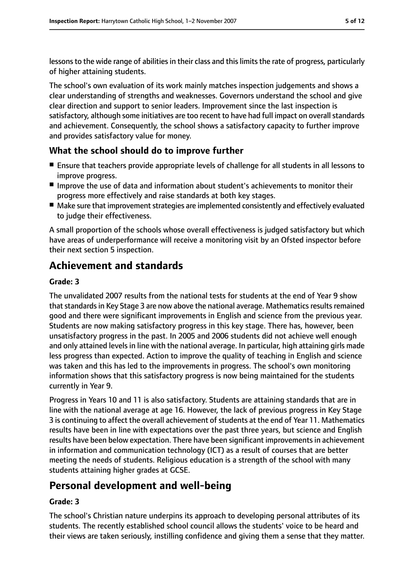lessons to the wide range of abilities in their class and this limits the rate of progress, particularly of higher attaining students.

The school's own evaluation of its work mainly matches inspection judgements and shows a clear understanding of strengths and weaknesses. Governors understand the school and give clear direction and support to senior leaders. Improvement since the last inspection is satisfactory, although some initiatives are too recent to have had full impact on overall standards and achievement. Consequently, the school shows a satisfactory capacity to further improve and provides satisfactory value for money.

## **What the school should do to improve further**

- Ensure that teachers provide appropriate levels of challenge for all students in all lessons to improve progress.
- Improve the use of data and information about student's achievements to monitor their progress more effectively and raise standards at both key stages.
- Make sure that improvement strategies are implemented consistently and effectively evaluated to judge their effectiveness.

A small proportion of the schools whose overall effectiveness is judged satisfactory but which have areas of underperformance will receive a monitoring visit by an Ofsted inspector before their next section 5 inspection.

# **Achievement and standards**

#### **Grade: 3**

The unvalidated 2007 results from the national tests for students at the end of Year 9 show that standards in Key Stage 3 are now above the national average. Mathematics results remained good and there were significant improvements in English and science from the previous year. Students are now making satisfactory progress in this key stage. There has, however, been unsatisfactory progress in the past. In 2005 and 2006 students did not achieve well enough and only attained levels in line with the national average. In particular, high attaining girls made less progress than expected. Action to improve the quality of teaching in English and science was taken and this has led to the improvements in progress. The school's own monitoring information shows that this satisfactory progress is now being maintained for the students currently in Year 9.

Progress in Years 10 and 11 is also satisfactory. Students are attaining standards that are in line with the national average at age 16. However, the lack of previous progress in Key Stage 3 is continuing to affect the overall achievement of students at the end of Year 11. Mathematics results have been in line with expectations over the past three years, but science and English results have been below expectation. There have been significant improvements in achievement in information and communication technology (ICT) as a result of courses that are better meeting the needs of students. Religious education is a strength of the school with many students attaining higher grades at GCSE.

## **Personal development and well-being**

#### **Grade: 3**

The school's Christian nature underpins its approach to developing personal attributes of its students. The recently established school council allows the students' voice to be heard and their views are taken seriously, instilling confidence and giving them a sense that they matter.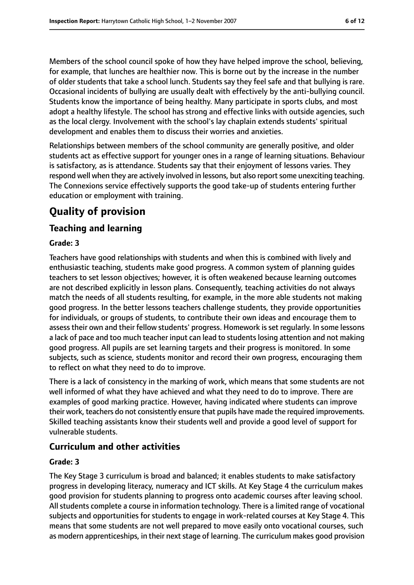Members of the school council spoke of how they have helped improve the school, believing, for example, that lunches are healthier now. This is borne out by the increase in the number of older students that take a school lunch. Students say they feel safe and that bullying is rare. Occasional incidents of bullying are usually dealt with effectively by the anti-bullying council. Students know the importance of being healthy. Many participate in sports clubs, and most adopt a healthy lifestyle. The school has strong and effective links with outside agencies, such as the local clergy. Involvement with the school's lay chaplain extends students' spiritual development and enables them to discuss their worries and anxieties.

Relationships between members of the school community are generally positive, and older students act as effective support for younger ones in a range of learning situations. Behaviour is satisfactory, as is attendance. Students say that their enjoyment of lessons varies. They respond well when they are actively involved in lessons, but also report some unexciting teaching. The Connexions service effectively supports the good take-up of students entering further education or employment with training.

# **Quality of provision**

#### **Teaching and learning**

#### **Grade: 3**

Teachers have good relationships with students and when this is combined with lively and enthusiastic teaching, students make good progress. A common system of planning guides teachers to set lesson objectives; however, it is often weakened because learning outcomes are not described explicitly in lesson plans. Consequently, teaching activities do not always match the needs of all students resulting, for example, in the more able students not making good progress. In the better lessons teachers challenge students, they provide opportunities for individuals, or groups of students, to contribute their own ideas and encourage them to assess their own and their fellow students' progress. Homework is set regularly. In some lessons a lack of pace and too much teacher input can lead to students losing attention and not making good progress. All pupils are set learning targets and their progress is monitored. In some subjects, such as science, students monitor and record their own progress, encouraging them to reflect on what they need to do to improve.

There is a lack of consistency in the marking of work, which means that some students are not well informed of what they have achieved and what they need to do to improve. There are examples of good marking practice. However, having indicated where students can improve their work, teachers do not consistently ensure that pupils have made the required improvements. Skilled teaching assistants know their students well and provide a good level of support for vulnerable students.

#### **Curriculum and other activities**

#### **Grade: 3**

The Key Stage 3 curriculum is broad and balanced; it enables students to make satisfactory progress in developing literacy, numeracy and ICT skills. At Key Stage 4 the curriculum makes good provision for students planning to progress onto academic courses after leaving school. All students complete a course in information technology. There is a limited range of vocational subjects and opportunities for students to engage in work-related courses at Key Stage 4. This means that some students are not well prepared to move easily onto vocational courses, such as modern apprenticeships, in their next stage of learning. The curriculum makes good provision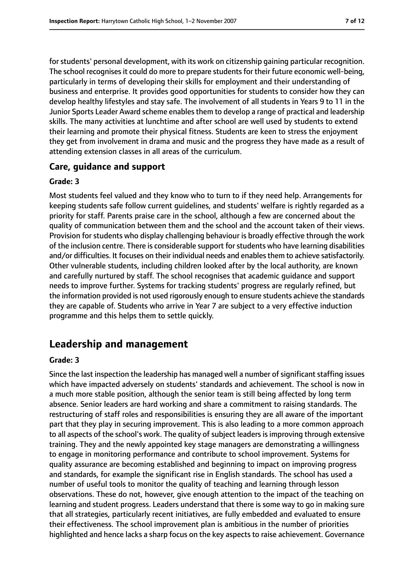for students' personal development, with its work on citizenship gaining particular recognition. The school recognises it could do more to prepare students for their future economic well-being, particularly in terms of developing their skills for employment and their understanding of business and enterprise. It provides good opportunities for students to consider how they can develop healthy lifestyles and stay safe. The involvement of all students in Years 9 to 11 in the Junior Sports Leader Award scheme enables them to develop a range of practical and leadership skills. The many activities at lunchtime and after school are well used by students to extend their learning and promote their physical fitness. Students are keen to stress the enjoyment they get from involvement in drama and music and the progress they have made as a result of attending extension classes in all areas of the curriculum.

#### **Care, guidance and support**

#### **Grade: 3**

Most students feel valued and they know who to turn to if they need help. Arrangements for keeping students safe follow current guidelines, and students' welfare is rightly regarded as a priority for staff. Parents praise care in the school, although a few are concerned about the quality of communication between them and the school and the account taken of their views. Provision for students who display challenging behaviour is broadly effective through the work of the inclusion centre. There is considerable support for students who have learning disabilities and/or difficulties. It focuses on their individual needs and enables them to achieve satisfactorily. Other vulnerable students, including children looked after by the local authority, are known and carefully nurtured by staff. The school recognises that academic guidance and support needs to improve further. Systems for tracking students' progress are regularly refined, but the information provided is not used rigorously enough to ensure students achieve the standards they are capable of. Students who arrive in Year 7 are subject to a very effective induction programme and this helps them to settle quickly.

## **Leadership and management**

#### **Grade: 3**

Since the last inspection the leadership has managed well a number of significant staffing issues which have impacted adversely on students' standards and achievement. The school is now in a much more stable position, although the senior team is still being affected by long term absence. Senior leaders are hard working and share a commitment to raising standards. The restructuring of staff roles and responsibilities is ensuring they are all aware of the important part that they play in securing improvement. This is also leading to a more common approach to all aspects of the school's work. The quality of subject leaders is improving through extensive training. They and the newly appointed key stage managers are demonstrating a willingness to engage in monitoring performance and contribute to school improvement. Systems for quality assurance are becoming established and beginning to impact on improving progress and standards, for example the significant rise in English standards. The school has used a number of useful tools to monitor the quality of teaching and learning through lesson observations. These do not, however, give enough attention to the impact of the teaching on learning and student progress. Leaders understand that there is some way to go in making sure that all strategies, particularly recent initiatives, are fully embedded and evaluated to ensure their effectiveness. The school improvement plan is ambitious in the number of priorities highlighted and hence lacks a sharp focus on the key aspects to raise achievement. Governance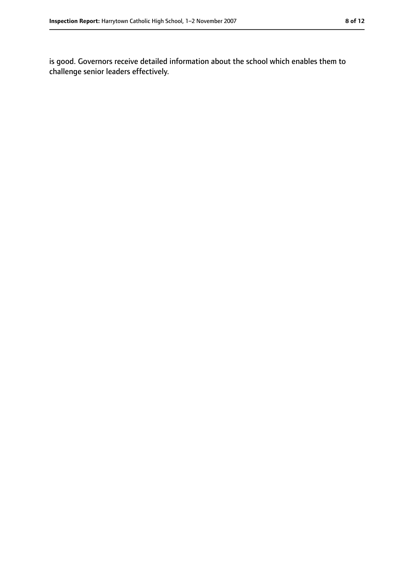is good. Governors receive detailed information about the school which enables them to challenge senior leaders effectively.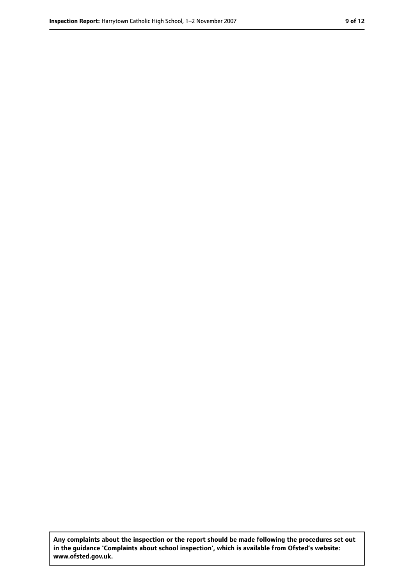**Any complaints about the inspection or the report should be made following the procedures set out in the guidance 'Complaints about school inspection', which is available from Ofsted's website: www.ofsted.gov.uk.**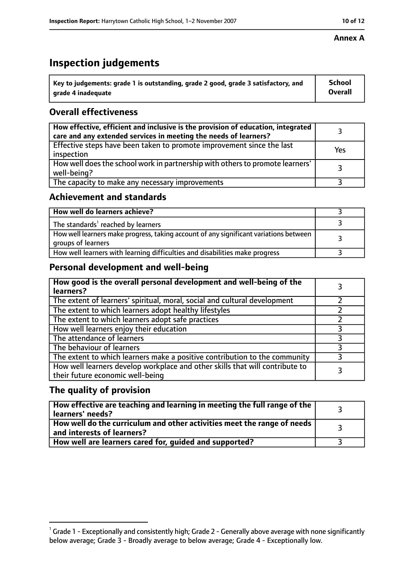# **Inspection judgements**

| $^{\backprime}$ Key to judgements: grade 1 is outstanding, grade 2 good, grade 3 satisfactory, and | <b>School</b>  |
|----------------------------------------------------------------------------------------------------|----------------|
| arade 4 inadeguate                                                                                 | <b>Overall</b> |

#### **Overall effectiveness**

| How effective, efficient and inclusive is the provision of education, integrated<br>care and any extended services in meeting the needs of learners? |     |
|------------------------------------------------------------------------------------------------------------------------------------------------------|-----|
| Effective steps have been taken to promote improvement since the last<br>inspection                                                                  | Yes |
| How well does the school work in partnership with others to promote learners'<br>well-being?                                                         |     |
| The capacity to make any necessary improvements                                                                                                      |     |

#### **Achievement and standards**

| How well do learners achieve?                                                                               |  |
|-------------------------------------------------------------------------------------------------------------|--|
| The standards <sup>1</sup> reached by learners                                                              |  |
| How well learners make progress, taking account of any significant variations between<br>groups of learners |  |
| How well learners with learning difficulties and disabilities make progress                                 |  |

## **Personal development and well-being**

| How good is the overall personal development and well-being of the<br>learners?                                  |  |
|------------------------------------------------------------------------------------------------------------------|--|
| The extent of learners' spiritual, moral, social and cultural development                                        |  |
| The extent to which learners adopt healthy lifestyles                                                            |  |
| The extent to which learners adopt safe practices                                                                |  |
| How well learners enjoy their education                                                                          |  |
| The attendance of learners                                                                                       |  |
| The behaviour of learners                                                                                        |  |
| The extent to which learners make a positive contribution to the community                                       |  |
| How well learners develop workplace and other skills that will contribute to<br>their future economic well-being |  |

#### **The quality of provision**

| How effective are teaching and learning in meeting the full range of the<br>learners' needs?                        |  |
|---------------------------------------------------------------------------------------------------------------------|--|
| $\mid$ How well do the curriculum and other activities meet the range of needs $\mid$<br>and interests of learners? |  |
| How well are learners cared for, guided and supported?                                                              |  |

 $^1$  Grade 1 - Exceptionally and consistently high; Grade 2 - Generally above average with none significantly below average; Grade 3 - Broadly average to below average; Grade 4 - Exceptionally low.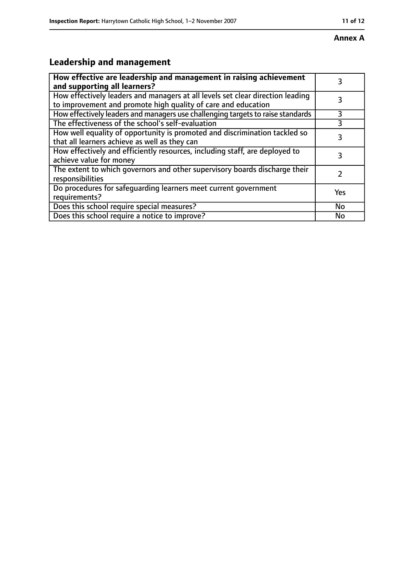# **Leadership and management**

| How effective are leadership and management in raising achievement<br>and supporting all learners?                                              | 3         |
|-------------------------------------------------------------------------------------------------------------------------------------------------|-----------|
| How effectively leaders and managers at all levels set clear direction leading<br>to improvement and promote high quality of care and education |           |
| How effectively leaders and managers use challenging targets to raise standards                                                                 | 3         |
| The effectiveness of the school's self-evaluation                                                                                               |           |
| How well equality of opportunity is promoted and discrimination tackled so<br>that all learners achieve as well as they can                     | 3         |
| How effectively and efficiently resources, including staff, are deployed to<br>achieve value for money                                          | 3         |
| The extent to which governors and other supervisory boards discharge their<br>responsibilities                                                  |           |
| Do procedures for safequarding learners meet current government<br>requirements?                                                                | Yes       |
| Does this school require special measures?                                                                                                      | <b>No</b> |
| Does this school require a notice to improve?                                                                                                   | No        |